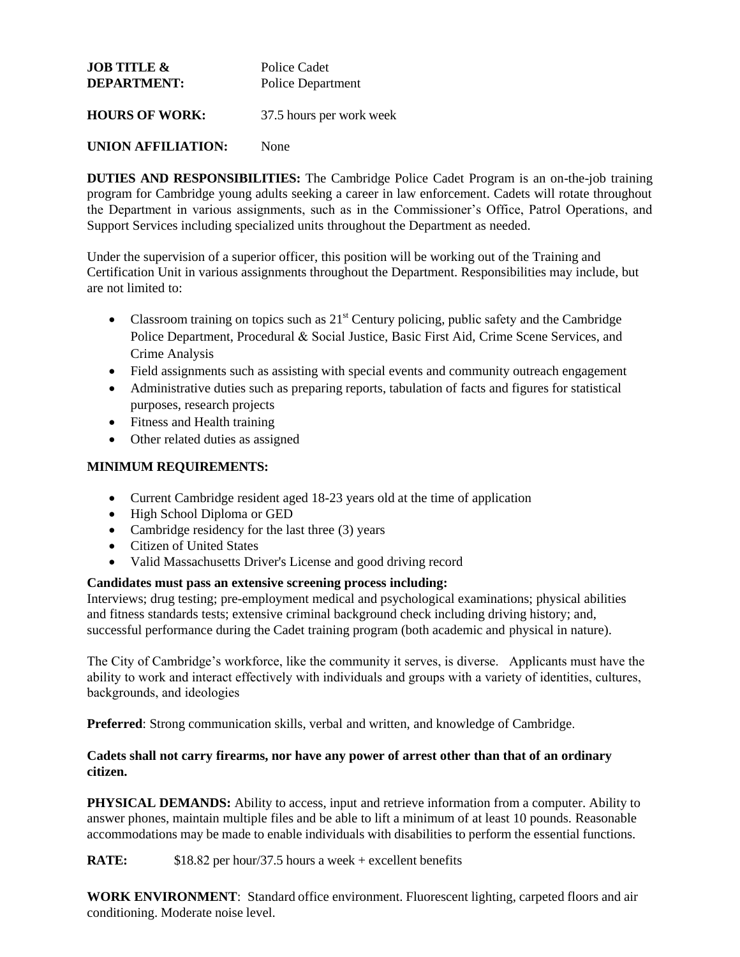| <b>JOB TITLE &amp;</b> | Police Cadet             |  |
|------------------------|--------------------------|--|
| <b>DEPARTMENT:</b>     | Police Department        |  |
| <b>HOURS OF WORK:</b>  | 37.5 hours per work week |  |

## **UNION AFFILIATION:** None

**DUTIES AND RESPONSIBILITIES:** The Cambridge Police Cadet Program is an on-the-job training program for Cambridge young adults seeking a career in law enforcement. Cadets will rotate throughout the Department in various assignments, such as in the Commissioner's Office, Patrol Operations, and Support Services including specialized units throughout the Department as needed.

Under the supervision of a superior officer, this position will be working out of the Training and Certification Unit in various assignments throughout the Department. Responsibilities may include, but are not limited to:

- Classroom training on topics such as  $21<sup>st</sup>$  Century policing, public safety and the Cambridge Police Department, Procedural & Social Justice, Basic First Aid, Crime Scene Services, and Crime Analysis
- Field assignments such as assisting with special events and community outreach engagement
- Administrative duties such as preparing reports, tabulation of facts and figures for statistical purposes, research projects
- Fitness and Health training
- Other related duties as assigned

#### **MINIMUM REQUIREMENTS:**

- Current Cambridge resident aged 18-23 years old at the time of application
- High School Diploma or GED
- Cambridge residency for the last three (3) years
- Citizen of United States
- Valid Massachusetts Driver's License and good driving record

#### **Candidates must pass an extensive screening process including:**

Interviews; drug testing; pre-employment medical and psychological examinations; physical abilities and fitness standards tests; extensive criminal background check including driving history; and, successful performance during the Cadet training program (both academic and physical in nature).

The City of Cambridge's workforce, like the community it serves, is diverse. Applicants must have the ability to work and interact effectively with individuals and groups with a variety of identities, cultures, backgrounds, and ideologies

**Preferred**: Strong communication skills, verbal and written, and knowledge of Cambridge.

#### **Cadets shall not carry firearms, nor have any power of arrest other than that of an ordinary citizen.**

**PHYSICAL DEMANDS:** Ability to access, input and retrieve information from a computer. Ability to answer phones, maintain multiple files and be able to lift a minimum of at least 10 pounds. Reasonable accommodations may be made to enable individuals with disabilities to perform the essential functions.

**RATE:** \$18.82 per hour/37.5 hours a week + excellent benefits

**WORK ENVIRONMENT**: Standard office environment. Fluorescent lighting, carpeted floors and air conditioning. Moderate noise level.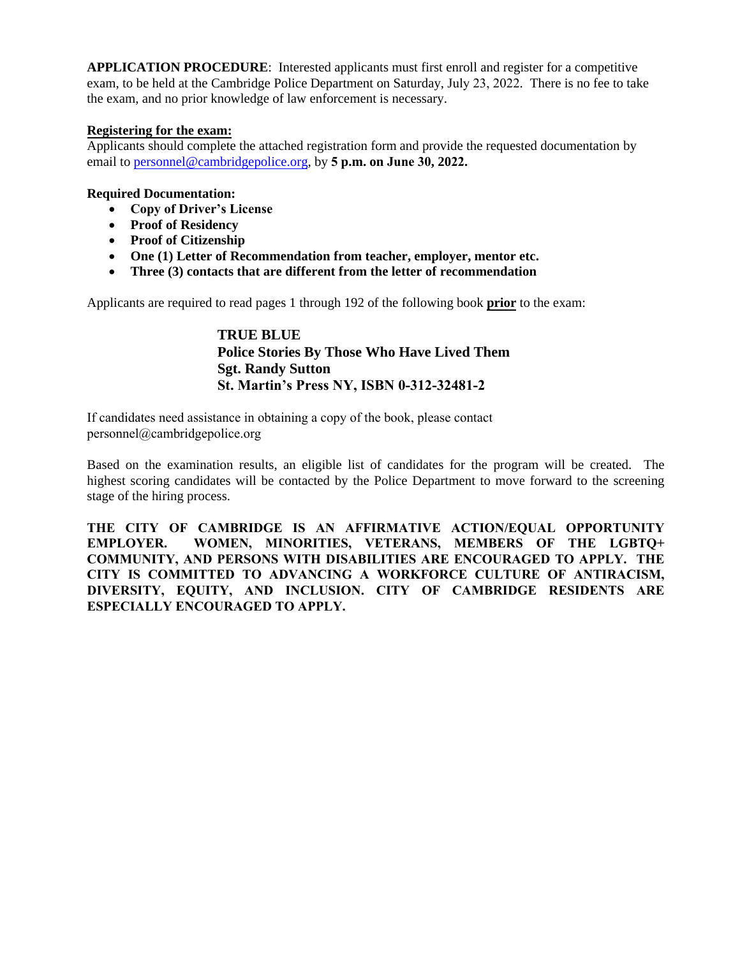**APPLICATION PROCEDURE**: Interested applicants must first enroll and register for a competitive exam, to be held at the Cambridge Police Department on Saturday, July 23, 2022. There is no fee to take the exam, and no prior knowledge of law enforcement is necessary.

#### **Registering for the exam:**

Applicants should complete the attached registration form and provide the requested documentation by email to [personnel@cambridgepolice.org,](mailto:personnel@cambridgepolice.org) by **5 p.m. on June 30, 2022.**

### **Required Documentation:**

- **Copy of Driver's License**
- **Proof of Residency**
- **Proof of Citizenship**
- **One (1) Letter of Recommendation from teacher, employer, mentor etc.**
- **Three (3) contacts that are different from the letter of recommendation**

Applicants are required to read pages 1 through 192 of the following book **prior** to the exam:

**TRUE BLUE Police Stories By Those Who Have Lived Them Sgt. Randy Sutton St. Martin's Press NY, ISBN 0-312-32481-2**

If candidates need assistance in obtaining a copy of the book, please contact personnel@cambridgepolice.org

Based on the examination results, an eligible list of candidates for the program will be created. The highest scoring candidates will be contacted by the Police Department to move forward to the screening stage of the hiring process.

**THE CITY OF CAMBRIDGE IS AN AFFIRMATIVE ACTION/EQUAL OPPORTUNITY EMPLOYER. WOMEN, MINORITIES, VETERANS, MEMBERS OF THE LGBTQ+ COMMUNITY, AND PERSONS WITH DISABILITIES ARE ENCOURAGED TO APPLY. THE CITY IS COMMITTED TO ADVANCING A WORKFORCE CULTURE OF ANTIRACISM, DIVERSITY, EQUITY, AND INCLUSION. CITY OF CAMBRIDGE RESIDENTS ARE ESPECIALLY ENCOURAGED TO APPLY.**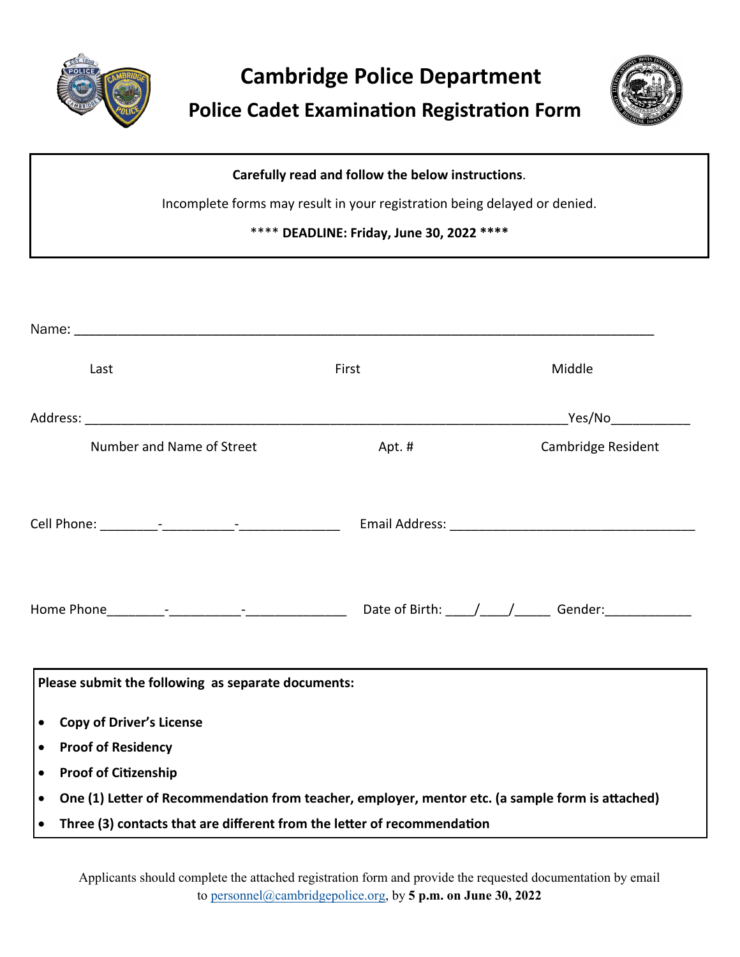

# **Cambridge Police Department**

 **Police Cadet Examination Registration Form**



| Carefully read and follow the below instructions.                         |  |  |
|---------------------------------------------------------------------------|--|--|
| Incomplete forms may result in your registration being delayed or denied. |  |  |
| **** DEADLINE: Friday, June 30, 2022 ****                                 |  |  |

|                                                    | Name: Name: 2008 and 2008 and 2008 and 2008 and 2008 and 2008 and 2008 and 2008 and 2008 and 2008 and 2008 and 2008 and 2008 and 2008 and 2008 and 2008 and 2008 and 2008 and 2008 and 2008 and 2008 and 2008 and 2008 and 200 |       |                                  |  |  |  |
|----------------------------------------------------|--------------------------------------------------------------------------------------------------------------------------------------------------------------------------------------------------------------------------------|-------|----------------------------------|--|--|--|
|                                                    | Last                                                                                                                                                                                                                           | First | Middle                           |  |  |  |
|                                                    |                                                                                                                                                                                                                                |       | <u>Nes/North Community Press</u> |  |  |  |
|                                                    | Number and Name of Street                                                                                                                                                                                                      | Apt.# | Cambridge Resident               |  |  |  |
|                                                    |                                                                                                                                                                                                                                |       |                                  |  |  |  |
|                                                    |                                                                                                                                                                                                                                |       |                                  |  |  |  |
| Please submit the following as separate documents: |                                                                                                                                                                                                                                |       |                                  |  |  |  |
| <b>Copy of Driver's License</b><br>$\bullet$       |                                                                                                                                                                                                                                |       |                                  |  |  |  |
| <b>Proof of Residency</b><br>$\bullet$             |                                                                                                                                                                                                                                |       |                                  |  |  |  |
| $\bullet$                                          | <b>Proof of Citizenship</b>                                                                                                                                                                                                    |       |                                  |  |  |  |
| $\bullet$                                          | One (1) Letter of Recommendation from teacher, employer, mentor etc. (a sample form is attached)<br>Three (3) contacts that are different from the letter of recommendation                                                    |       |                                  |  |  |  |
| $\bullet$                                          |                                                                                                                                                                                                                                |       |                                  |  |  |  |

Applicants should complete the attached registration form and provide the requested documentation by email to personnel@cambridgepolice.org, by **5 p.m. on June 30, 2022**